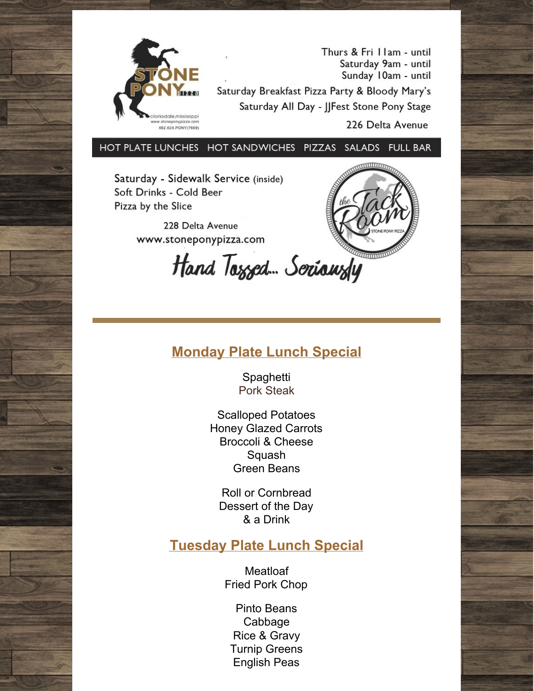

Thurs & Fri I lam - until Saturday 9am - until Sunday 10am - until Saturday Breakfast Pizza Party & Bloody Mary's Saturday All Day - JJFest Stone Pony Stage

226 Delta Avenue

HOT PLATE LUNCHES HOT SANDWICHES PIZZAS SALADS FULL BAR

Saturday - Sidewalk Service (inside) Soft Drinks - Cold Beer Pizza by the Slice

> 228 Delta Avenue www.stoneponypizza.com

Hand Tossed. Seriawsly

## **Monday Plate Lunch Special**

**Spaghetti** Pork Steak

Scalloped Potatoes Honey Glazed Carrots Broccoli & Cheese Squash Green Beans

Roll or Cornbread Dessert of the Day & a Drink

#### **Tuesday Plate Lunch Special**

**Meatloaf** Fried Pork Chop

Pinto Beans Cabbage Rice & Gravy Turnip Greens English Peas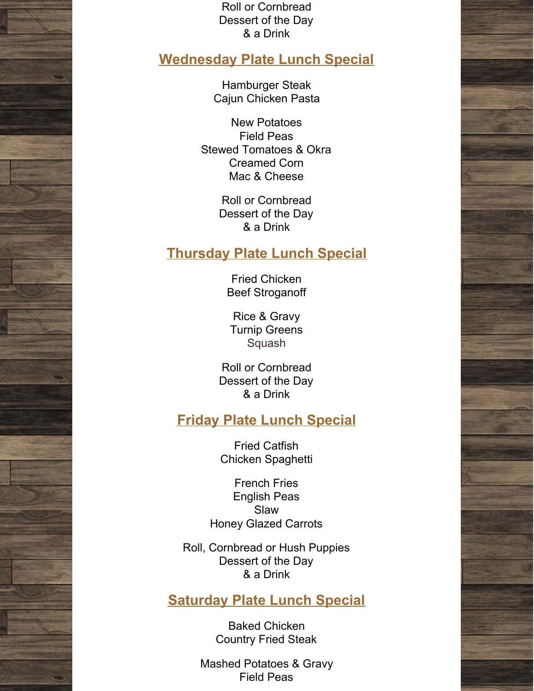Roll or Cornbread Dessert of the Day & a Drink

### **Wednesday Plate Lunch Special**

Hamburger Steak Cajun Chicken Pasta

New Potatoes Field Peas Stewed Tomatoes & Okra Creamed Corn Mac & Cheese

> Roll or Cornbread Dessert of the Day & a Drink

#### **Thursday Plate Lunch Special**

Fried Chicken Beef Stroganoff

Rice & Gravy Turnip Greens Squash

Roll or Cornbread Dessert of the Day & a Drink

## **Friday Plate Lunch Special**

Fried Catfish Chicken Spaghetti

French Fries English Peas Slaw Honey Glazed Carrots

Roll, Cornbread or Hush Puppies Dessert of the Day & a Drink

### **Saturday Plate Lunch Special**

Baked Chicken Country Fried Steak

Mashed Potatoes & Gravy Field Peas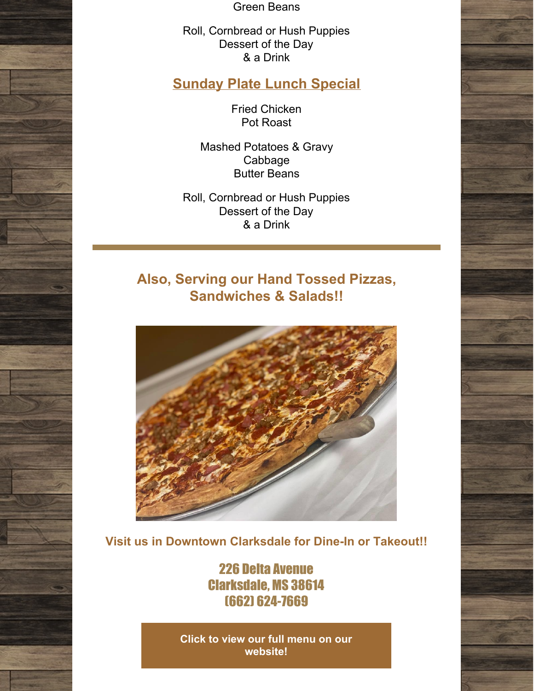Green Beans

Roll, Cornbread or Hush Puppies Dessert of the Day & a Drink

# **Sunday Plate Lunch Special**

Fried Chicken Pot Roast

Mashed Potatoes & Gravy Cabbage Butter Beans

Roll, Cornbread or Hush Puppies Dessert of the Day & a Drink

# **Also, Serving our Hand Tossed Pizzas, Sandwiches & Salads!!**



**Visit us in Downtown Clarksdale for Dine-In or Takeout!!**

226 Delta Avenue Clarksdale, MS 38614 (662) 624-7669

**Click to view our full menu on our [website!](http://www.stoneponypizza.com)**